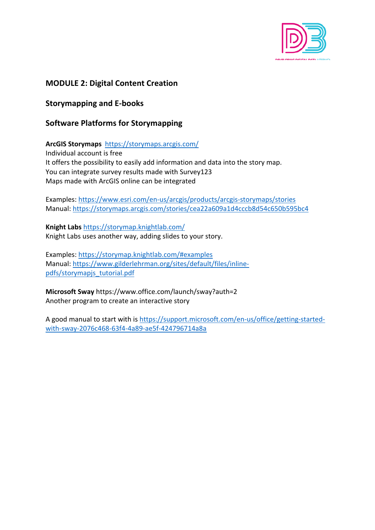

# **MODULE 2: Digital Content Creation**

**Storymapping and E-books**

## **Software Platforms for Storymapping**

**ArcGIS Storymaps** https://storymaps.arcgis.com/ Individual account is free It offers the possibility to easily add information and data into the story map. You can integrate survey results made with Survey123 Maps made with ArcGIS online can be integrated

Examples: https://www.esri.com/en-us/arcgis/products/arcgis-storymaps/stories Manual: https://storymaps.arcgis.com/stories/cea22a609a1d4cccb8d54c650b595bc4

**Knight Labs** https://storymap.knightlab.com/ Knight Labs uses another way, adding slides to your story.

Examples: https://storymap.knightlab.com/#examples Manual: https://www.gilderlehrman.org/sites/default/files/inlinepdfs/storymapjs\_tutorial.pdf

**Microsoft Sway** https://www.office.com/launch/sway?auth=2 Another program to create an interactive story

A good manual to start with is https://support.microsoft.com/en-us/office/getting-startedwith-sway-2076c468-63f4-4a89-ae5f-424796714a8a